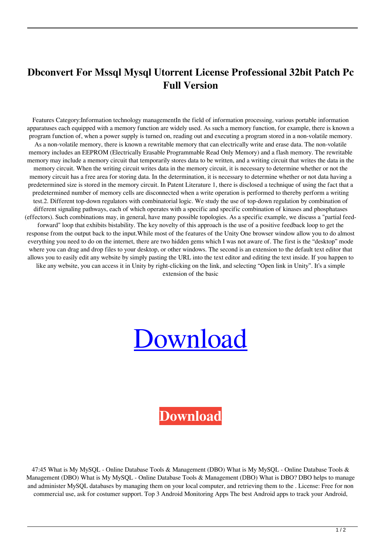## **Dbconvert For Mssql Mysql Utorrent License Professional 32bit Patch Pc Full Version**

Features Category:Information technology managementIn the field of information processing, various portable information apparatuses each equipped with a memory function are widely used. As such a memory function, for example, there is known a program function of, when a power supply is turned on, reading out and executing a program stored in a non-volatile memory. As a non-volatile memory, there is known a rewritable memory that can electrically write and erase data. The non-volatile memory includes an EEPROM (Electrically Erasable Programmable Read Only Memory) and a flash memory. The rewritable memory may include a memory circuit that temporarily stores data to be written, and a writing circuit that writes the data in the memory circuit. When the writing circuit writes data in the memory circuit, it is necessary to determine whether or not the memory circuit has a free area for storing data. In the determination, it is necessary to determine whether or not data having a predetermined size is stored in the memory circuit. In Patent Literature 1, there is disclosed a technique of using the fact that a predetermined number of memory cells are disconnected when a write operation is performed to thereby perform a writing test.2. Different top-down regulators with combinatorial logic. We study the use of top-down regulation by combination of different signaling pathways, each of which operates with a specific and specific combination of kinases and phosphatases (effectors). Such combinations may, in general, have many possible topologies. As a specific example, we discuss a "partial feedforward" loop that exhibits bistability. The key novelty of this approach is the use of a positive feedback loop to get the response from the output back to the input.While most of the features of the Unity One browser window allow you to do almost everything you need to do on the internet, there are two hidden gems which I was not aware of. The first is the "desktop" mode where you can drag and drop files to your desktop, or other windows. The second is an extension to the default text editor that allows you to easily edit any website by simply pasting the URL into the text editor and editing the text inside. If you happen to like any website, you can access it in Unity by right-clicking on the link, and selecting "Open link in Unity". It's a simple extension of the basic

## [Download](http://evacdir.com/pilferer?ZGJjb252ZXJ0IGZvciBtc3NxbCBteXNxbCBjcmFjayBwYXNzd29yZAZGJ=cooperator&denounced=ZG93bmxvYWR8M1ZJZFc5MWZId3hOalV5TnpRd09EWTJmSHd5TlRjMGZId29UU2tnY21WaFpDMWliRzluSUZ0R1lYTjBJRWRGVGww=decadent)

## **[Download](http://evacdir.com/pilferer?ZGJjb252ZXJ0IGZvciBtc3NxbCBteXNxbCBjcmFjayBwYXNzd29yZAZGJ=cooperator&denounced=ZG93bmxvYWR8M1ZJZFc5MWZId3hOalV5TnpRd09EWTJmSHd5TlRjMGZId29UU2tnY21WaFpDMWliRzluSUZ0R1lYTjBJRWRGVGww=decadent)**

47:45 What is My MySQL - Online Database Tools & Management (DBO) What is My MySQL - Online Database Tools & Management (DBO) What is My MySQL - Online Database Tools & Management (DBO) What is DBO? DBO helps to manage and administer MySQL databases by managing them on your local computer, and retrieving them to the . License: Free for non commercial use, ask for costumer support. Top 3 Android Monitoring Apps The best Android apps to track your Android,